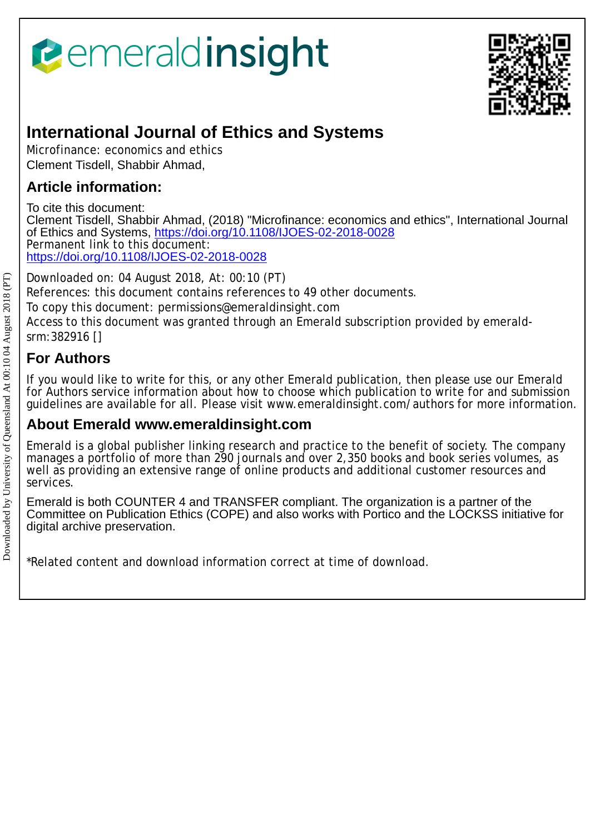# *<u><b>e*emeraldinsight</u>



## **International Journal of Ethics and Systems**

Microfinance: economics and ethics Clement Tisdell, Shabbir Ahmad,

## **Article information:**

To cite this document: Clement Tisdell, Shabbir Ahmad, (2018) "Microfinance: economics and ethics", International Journal of Ethics and Systems, <https://doi.org/10.1108/IJOES-02-2018-0028> Permanent link to this document: <https://doi.org/10.1108/IJOES-02-2018-0028>

Downloaded on: 04 August 2018, At: 00:10 (PT) References: this document contains references to 49 other documents. To copy this document: permissions@emeraldinsight.com Access to this document was granted through an Emerald subscription provided by emeraldsrm:382916 []

## **For Authors**

If you would like to write for this, or any other Emerald publication, then please use our Emerald for Authors service information about how to choose which publication to write for and submission guidelines are available for all. Please visit www.emeraldinsight.com/authors for more information.

### **About Emerald www.emeraldinsight.com**

Emerald is a global publisher linking research and practice to the benefit of society. The company manages a portfolio of more than 290 journals and over 2,350 books and book series volumes, as well as providing an extensive range of online products and additional customer resources and services.

Emerald is both COUNTER 4 and TRANSFER compliant. The organization is a partner of the Committee on Publication Ethics (COPE) and also works with Portico and the LOCKSS initiative for digital archive preservation.

\*Related content and download information correct at time of download.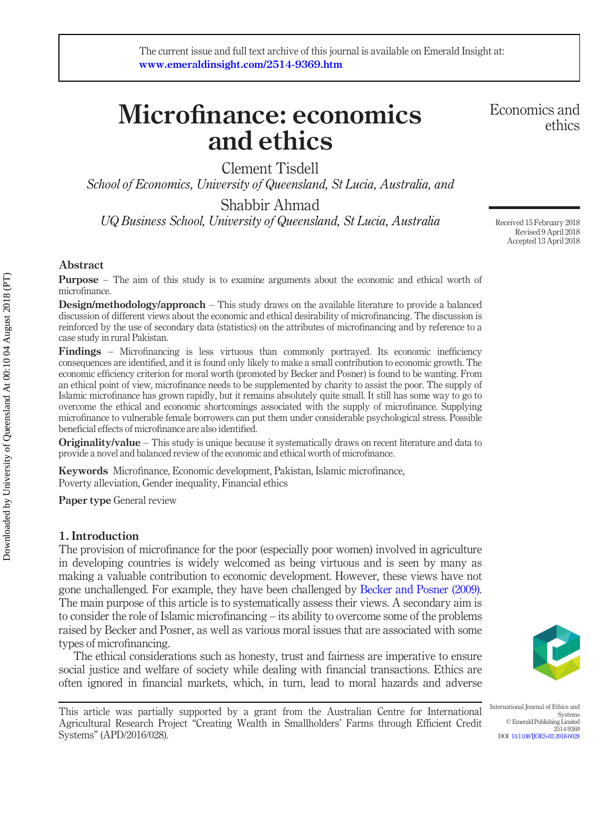## Microfinance: economics and ethics

Clement Tisdell

School of Economics, University of Queensland, St Lucia, Australia, and

Shabbir Ahmad UQ Business School, University of Queensland, St Lucia, Australia Economics and ethics

Received 15 February 2018 Revised 9 April 2018 Accepted 13 April 2018

#### Abstract

**Purpose** – The aim of this study is to examine arguments about the economic and ethical worth of microfinance.

**Design/methodology/approach** – This study draws on the available literature to provide a balanced discussion of different views about the economic and ethical desirability of microfinancing. The discussion is reinforced by the use of secondary data (statistics) on the attributes of microfinancing and by reference to a case study in rural Pakistan.

Findings – Microfinancing is less virtuous than commonly portrayed. Its economic inefficiency consequences are identified, and it is found only likely to make a small contribution to economic growth. The economic efficiency criterion for moral worth (promoted by Becker and Posner) is found to be wanting. From an ethical point of view, microfinance needs to be supplemented by charity to assist the poor. The supply of Islamic microfinance has grown rapidly, but it remains absolutely quite small. It still has some way to go to overcome the ethical and economic shortcomings associated with the supply of microfinance. Supplying microfinance to vulnerable female borrowers can put them under considerable psychological stress. Possible beneficial effects of microfinance are also identified.

**Originality/value** – This study is unique because it systematically draws on recent literature and data to provide a novel and balanced review of the economic and ethical worth of microfinance.

Keywords Microfinance, Economic development, Pakistan, Islamic microfinance,

Poverty alleviation, Gender inequality, Financial ethics

Paper type General review

#### 1. Introduction

The provision of microfinance for the poor (especially poor women) involved in agriculture in developing countries is widely welcomed as being virtuous and is seen by many as making a valuable contribution to economic development. However, these views have not gone unchallenged. For example, they have been challenged by [Becker and Posner \(2009\)](#page-19-0). The main purpose of this article is to systematically assess their views. A secondary aim is to consider the role of Islamic microfinancing – its ability to overcome some of the problems raised by Becker and Posner, as well as various moral issues that are associated with some types of microfinancing.

The ethical considerations such as honesty, trust and fairness are imperative to ensure social justice and welfare of society while dealing with financial transactions. Ethics are often ignored in financial markets, which, in turn, lead to moral hazards and adverse



International Journal of Ethics and Systems © Emerald Publishing Limited 2514-9369 DOI [10.1108/IJOES-02-2018-0028](http://dx.doi.org/10.1108/IJOES-02-2018-0028)

This article was partially supported by a grant from the Australian Centre for International Agricultural Research Project "Creating Wealth in Smallholders' Farms through Efficient Credit Systems" (APD/2016/028).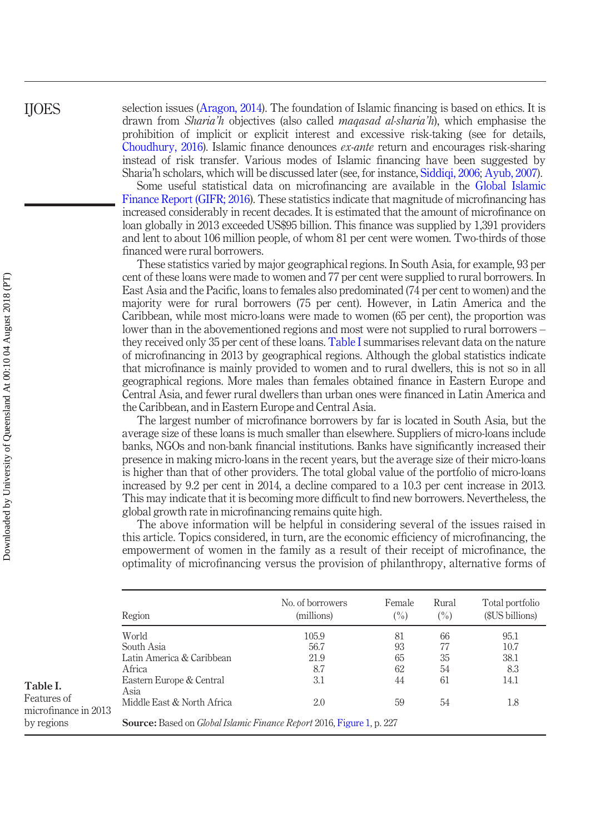selection issues ([Aragon, 2014\)](#page-19-1). The foundation of Islamic financing is based on ethics. It is drawn from *Sharia'h* objectives (also called *magasad al-sharia'h*), which emphasise the prohibition of implicit or explicit interest and excessive risk-taking (see for details, [Choudhury, 2016](#page-19-2)). Islamic finance denounces *ex-ante* return and encourages risk-sharing instead of risk transfer. Various modes of Islamic financing have been suggested by Sharia'h scholars, which will be discussed later (see, for instance, [Siddiqi, 2006](#page-21-0); [Ayub, 2007](#page-19-3)).

Some useful statistical data on microfinancing are available in the [Global Islamic](#page-19-4) [Finance Report \(GIFR; 2016\)](#page-19-4). These statistics indicate that magnitude of microfinancing has increased considerably in recent decades. It is estimated that the amount of microfinance on loan globally in 2013 exceeded US\$95 billion. This finance was supplied by 1,391 providers and lent to about 106 million people, of whom 81 per cent were women. Two-thirds of those financed were rural borrowers.

These statistics varied by major geographical regions. In South Asia, for example, 93 per cent of these loans were made to women and 77 per cent were supplied to rural borrowers. In East Asia and the Pacific, loans to females also predominated (74 per cent to women) and the majority were for rural borrowers (75 per cent). However, in Latin America and the Caribbean, while most micro-loans were made to women (65 per cent), the proportion was lower than in the abovementioned regions and most were not supplied to rural borrowers – they received only 35 per cent of these loans. [Table I](#page-2-0) summarises relevant data on the nature of microfinancing in 2013 by geographical regions. Although the global statistics indicate that microfinance is mainly provided to women and to rural dwellers, this is not so in all geographical regions. More males than females obtained finance in Eastern Europe and Central Asia, and fewer rural dwellers than urban ones were financed in Latin America and the Caribbean, and in Eastern Europe and Central Asia.

The largest number of microfinance borrowers by far is located in South Asia, but the average size of these loans is much smaller than elsewhere. Suppliers of micro-loans include banks, NGOs and non-bank financial institutions. Banks have significantly increased their presence in making micro-loans in the recent years, but the average size of their micro-loans is higher than that of other providers. The total global value of the portfolio of micro-loans increased by 9.2 per cent in 2014, a decline compared to a 10.3 per cent increase in 2013. This may indicate that it is becoming more difficult to find new borrowers. Nevertheless, the global growth rate in microfinancing remains quite high.

The above information will be helpful in considering several of the issues raised in this article. Topics considered, in turn, are the economic efficiency of microfinancing, the empowerment of women in the family as a result of their receipt of microfinance, the optimality of microfinancing versus the provision of philanthropy, alternative forms of

<span id="page-2-0"></span>

|                                                 | Region                                                                              | No. of borrowers<br>(millions) | Female<br>$(\%)$ | Rural<br>$\binom{0}{0}$ | Total portfolio<br>(\$US billions) |  |
|-------------------------------------------------|-------------------------------------------------------------------------------------|--------------------------------|------------------|-------------------------|------------------------------------|--|
| Table I.<br>Features of<br>microfinance in 2013 | World                                                                               | 105.9                          | 81               | 66                      | 95.1                               |  |
|                                                 | South Asia<br>Latin America & Caribbean                                             | 56.7<br>21.9                   | 93<br>65         | 77<br>35                | 10.7<br>38.1                       |  |
|                                                 | Africa<br>Eastern Europe & Central                                                  | 8.7<br>3.1                     | 62<br>44         | 54<br>61                | 8.3<br>14.1                        |  |
|                                                 | Asia<br>Middle East & North Africa                                                  | 2.0                            | 59               | 54                      | 1.8                                |  |
| by regions                                      | <b>Source:</b> Based on <i>Global Islamic Finance Report</i> 2016, Figure 1, p. 227 |                                |                  |                         |                                    |  |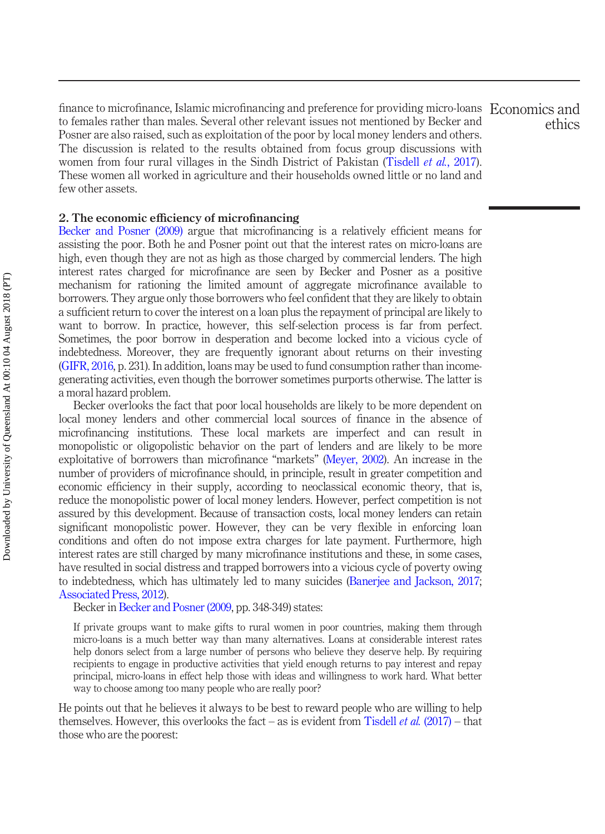finance to microfinance, Islamic microfinancing and preference for providing micro-loans Economics and to females rather than males. Several other relevant issues not mentioned by Becker and Posner are also raised, such as exploitation of the poor by local money lenders and others. The discussion is related to the results obtained from focus group discussions with women from four rural villages in the Sindh District of Pakistan ([Tisdell](#page-21-1) *et al.*, 2017). These women all worked in agriculture and their households owned little or no land and few other assets.

2. The economic efficiency of microfinancing

[Becker and Posner \(2009\)](#page-19-0) argue that microfinancing is a relatively efficient means for assisting the poor. Both he and Posner point out that the interest rates on micro-loans are high, even though they are not as high as those charged by commercial lenders. The high interest rates charged for microfinance are seen by Becker and Posner as a positive mechanism for rationing the limited amount of aggregate microfinance available to borrowers. They argue only those borrowers who feel confident that they are likely to obtain a sufficient return to cover the interest on a loan plus the repayment of principal are likely to want to borrow. In practice, however, this self-selection process is far from perfect. Sometimes, the poor borrow in desperation and become locked into a vicious cycle of indebtedness. Moreover, they are frequently ignorant about returns on their investing [\(GIFR, 2016](#page-19-4), p. 231). In addition, loans may be used to fund consumption rather than incomegenerating activities, even though the borrower sometimes purports otherwise. The latter is a moral hazard problem.

Becker overlooks the fact that poor local households are likely to be more dependent on local money lenders and other commercial local sources of finance in the absence of microfinancing institutions. These local markets are imperfect and can result in monopolistic or oligopolistic behavior on the part of lenders and are likely to be more exploitative of borrowers than microfinance "markets" [\(Meyer, 2002](#page-20-0)). An increase in the number of providers of microfinance should, in principle, result in greater competition and economic efficiency in their supply, according to neoclassical economic theory, that is, reduce the monopolistic power of local money lenders. However, perfect competition is not assured by this development. Because of transaction costs, local money lenders can retain significant monopolistic power. However, they can be very flexible in enforcing loan conditions and often do not impose extra charges for late payment. Furthermore, high interest rates are still charged by many microfinance institutions and these, in some cases, have resulted in social distress and trapped borrowers into a vicious cycle of poverty owing to indebtedness, which has ultimately led to many suicides [\(Banerjee and Jackson, 2017](#page-19-5); [Associated Press, 2012](#page-19-6)).

Becker in [Becker and Posner \(2009,](#page-19-0) pp. 348-349) states:

If private groups want to make gifts to rural women in poor countries, making them through micro-loans is a much better way than many alternatives. Loans at considerable interest rates help donors select from a large number of persons who believe they deserve help. By requiring recipients to engage in productive activities that yield enough returns to pay interest and repay principal, micro-loans in effect help those with ideas and willingness to work hard. What better way to choose among too many people who are really poor?

He points out that he believes it always to be best to reward people who are willing to help themselves. However, this overlooks the fact – as is evident from [Tisdell](#page-21-1) *et al.* (2017) – that those who are the poorest:

ethics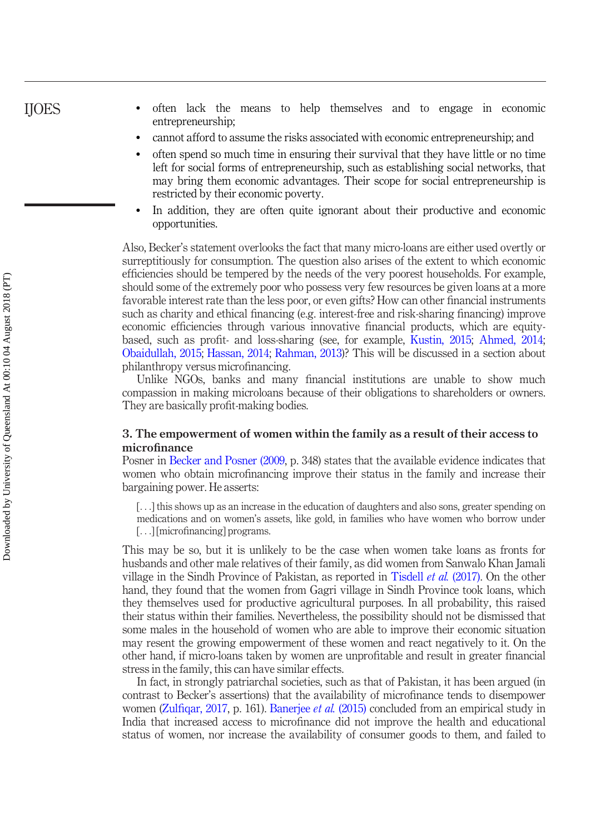#### often lack the means to help themselves and to engage in economic entrepreneurship;

- cannot afford to assume the risks associated with economic entrepreneurship; and
- often spend so much time in ensuring their survival that they have little or no time left for social forms of entrepreneurship, such as establishing social networks, that may bring them economic advantages. Their scope for social entrepreneurship is restricted by their economic poverty.
- In addition, they are often quite ignorant about their productive and economic opportunities.

Also, Becker's statement overlooks the fact that many micro-loans are either used overtly or surreptitiously for consumption. The question also arises of the extent to which economic efficiencies should be tempered by the needs of the very poorest households. For example, should some of the extremely poor who possess very few resources be given loans at a more favorable interest rate than the less poor, or even gifts? How can other financial instruments such as charity and ethical financing (e.g. interest-free and risk-sharing financing) improve economic efficiencies through various innovative financial products, which are equitybased, such as profit- and loss-sharing (see, for example, [Kustin, 2015](#page-20-1); [Ahmed, 2014;](#page-19-7) [Obaidullah, 2015](#page-20-2); [Hassan, 2014;](#page-20-3) [Rahman, 2013\)](#page-20-4)? This will be discussed in a section about philanthropy versus microfinancing.

Unlike NGOs, banks and many financial institutions are unable to show much compassion in making microloans because of their obligations to shareholders or owners. They are basically profit-making bodies.

#### 3. The empowerment of women within the family as a result of their access to microfinance

Posner in [Becker and Posner \(2009](#page-19-0), p. 348) states that the available evidence indicates that women who obtain microfinancing improve their status in the family and increase their bargaining power. He asserts:

[...] this shows up as an increase in the education of daughters and also sons, greater spending on medications and on women's assets, like gold, in families who have women who borrow under [...] [microfinancing] programs.

This may be so, but it is unlikely to be the case when women take loans as fronts for husbands and other male relatives of their family, as did women from Sanwalo Khan Jamali village in the Sindh Province of Pakistan, as reported in [Tisdell](#page-21-1) et al. (2017). On the other hand, they found that the women from Gagri village in Sindh Province took loans, which they themselves used for productive agricultural purposes. In all probability, this raised their status within their families. Nevertheless, the possibility should not be dismissed that some males in the household of women who are able to improve their economic situation may resent the growing empowerment of these women and react negatively to it. On the other hand, if micro-loans taken by women are unprofitable and result in greater financial stress in the family, this can have similar effects.

In fact, in strongly patriarchal societies, such as that of Pakistan, it has been argued (in contrast to Becker's assertions) that the availability of microfinance tends to disempower women (Zulfigar, 2017, p. 161). [Banerjee](#page-19-8) *et al.* (2015) concluded from an empirical study in India that increased access to microfinance did not improve the health and educational status of women, nor increase the availability of consumer goods to them, and failed to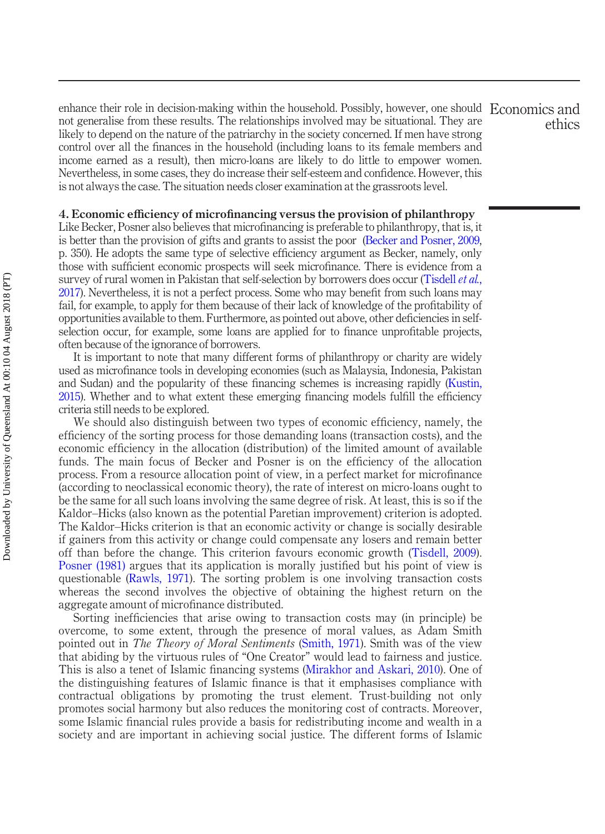enhance their role in decision-making within the household. Possibly, however, one should Economics and not generalise from these results. The relationships involved may be situational. They are likely to depend on the nature of the patriarchy in the society concerned. If men have strong control over all the finances in the household (including loans to its female members and income earned as a result), then micro-loans are likely to do little to empower women. Nevertheless, in some cases, they do increase their self-esteem and confidence. However, this is not always the case. The situation needs closer examination at the grassroots level.

ethics

#### 4. Economic efficiency of microfinancing versus the provision of philanthropy

Like Becker, Posner also believes that microfinancing is preferable to philanthropy, that is, it is better than the provision of gifts and grants to assist the poor [\(Becker and Posner, 2009](#page-19-0), p. 350). He adopts the same type of selective efficiency argument as Becker, namely, only those with sufficient economic prospects will seek microfinance. There is evidence from a survey of rural women in Pakistan that self-selection by borrowers does occur [\(Tisdell](#page-21-1) et al., [2017\)](#page-21-1). Nevertheless, it is not a perfect process. Some who may benefit from such loans may fail, for example, to apply for them because of their lack of knowledge of the profitability of opportunities available to them. Furthermore, as pointed out above, other deficiencies in selfselection occur, for example, some loans are applied for to finance unprofitable projects, often because of the ignorance of borrowers.

It is important to note that many different forms of philanthropy or charity are widely used as microfinance tools in developing economies (such as Malaysia, Indonesia, Pakistan and Sudan) and the popularity of these financing schemes is increasing rapidly ([Kustin,](#page-20-1) [2015\)](#page-20-1). Whether and to what extent these emerging financing models fulfill the efficiency criteria still needs to be explored.

We should also distinguish between two types of economic efficiency, namely, the efficiency of the sorting process for those demanding loans (transaction costs), and the economic efficiency in the allocation (distribution) of the limited amount of available funds. The main focus of Becker and Posner is on the efficiency of the allocation process. From a resource allocation point of view, in a perfect market for microfinance (according to neoclassical economic theory), the rate of interest on micro-loans ought to be the same for all such loans involving the same degree of risk. At least, this is so if the Kaldor–Hicks (also known as the potential Paretian improvement) criterion is adopted. The Kaldor–Hicks criterion is that an economic activity or change is socially desirable if gainers from this activity or change could compensate any losers and remain better off than before the change. This criterion favours economic growth ([Tisdell, 2009\)](#page-21-3). [Posner \(1981\)](#page-20-5) argues that its application is morally justified but his point of view is questionable [\(Rawls, 1971\)](#page-20-6). The sorting problem is one involving transaction costs whereas the second involves the objective of obtaining the highest return on the aggregate amount of microfinance distributed.

Sorting inefficiencies that arise owing to transaction costs may (in principle) be overcome, to some extent, through the presence of moral values, as Adam Smith pointed out in The Theory of Moral Sentiments ([Smith, 1971](#page-21-4)). Smith was of the view that abiding by the virtuous rules of "One Creator" would lead to fairness and justice. This is also a tenet of Islamic financing systems ([Mirakhor and Askari, 2010\)](#page-20-7). One of the distinguishing features of Islamic finance is that it emphasises compliance with contractual obligations by promoting the trust element. Trust-building not only promotes social harmony but also reduces the monitoring cost of contracts. Moreover, some Islamic financial rules provide a basis for redistributing income and wealth in a society and are important in achieving social justice. The different forms of Islamic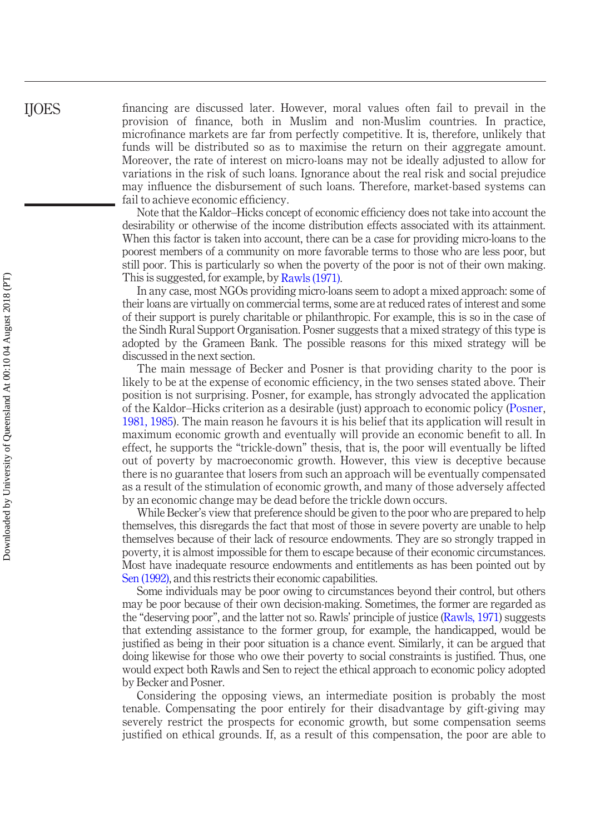financing are discussed later. However, moral values often fail to prevail in the provision of finance, both in Muslim and non-Muslim countries. In practice, microfinance markets are far from perfectly competitive. It is, therefore, unlikely that funds will be distributed so as to maximise the return on their aggregate amount. Moreover, the rate of interest on micro-loans may not be ideally adjusted to allow for variations in the risk of such loans. Ignorance about the real risk and social prejudice may influence the disbursement of such loans. Therefore, market-based systems can fail to achieve economic efficiency.

Note that the Kaldor–Hicks concept of economic efficiency does not take into account the desirability or otherwise of the income distribution effects associated with its attainment. When this factor is taken into account, there can be a case for providing micro-loans to the poorest members of a community on more favorable terms to those who are less poor, but still poor. This is particularly so when the poverty of the poor is not of their own making. This is suggested, for example, by [Rawls \(1971\)](#page-20-6).

In any case, most NGOs providing micro-loans seem to adopt a mixed approach: some of their loans are virtually on commercial terms, some are at reduced rates of interest and some of their support is purely charitable or philanthropic. For example, this is so in the case of the Sindh Rural Support Organisation. Posner suggests that a mixed strategy of this type is adopted by the Grameen Bank. The possible reasons for this mixed strategy will be discussed in the next section.

The main message of Becker and Posner is that providing charity to the poor is likely to be at the expense of economic efficiency, in the two senses stated above. Their position is not surprising. Posner, for example, has strongly advocated the application of the Kaldor–Hicks criterion as a desirable (just) approach to economic policy ([Posner,](#page-20-5) [1981, 1985](#page-20-8)). The main reason he favours it is his belief that its application will result in maximum economic growth and eventually will provide an economic benefit to all. In effect, he supports the "trickle-down" thesis, that is, the poor will eventually be lifted out of poverty by macroeconomic growth. However, this view is deceptive because there is no guarantee that losers from such an approach will be eventually compensated as a result of the stimulation of economic growth, and many of those adversely affected by an economic change may be dead before the trickle down occurs.

While Becker's view that preference should be given to the poor who are prepared to help themselves, this disregards the fact that most of those in severe poverty are unable to help themselves because of their lack of resource endowments. They are so strongly trapped in poverty, it is almost impossible for them to escape because of their economic circumstances. Most have inadequate resource endowments and entitlements as has been pointed out by [Sen \(1992\),](#page-20-9) and this restricts their economic capabilities.

Some individuals may be poor owing to circumstances beyond their control, but others may be poor because of their own decision-making. Sometimes, the former are regarded as the "deserving poor", and the latter not so. Rawls' principle of justice ([Rawls, 1971](#page-20-6)) suggests that extending assistance to the former group, for example, the handicapped, would be justified as being in their poor situation is a chance event. Similarly, it can be argued that doing likewise for those who owe their poverty to social constraints is justified. Thus, one would expect both Rawls and Sen to reject the ethical approach to economic policy adopted by Becker and Posner.

Considering the opposing views, an intermediate position is probably the most tenable. Compensating the poor entirely for their disadvantage by gift-giving may severely restrict the prospects for economic growth, but some compensation seems justified on ethical grounds. If, as a result of this compensation, the poor are able to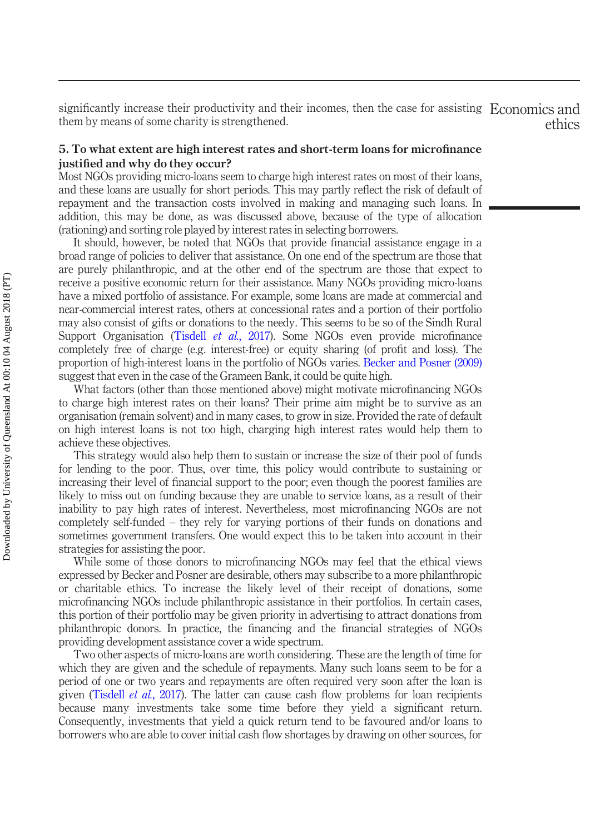significantly increase their productivity and their incomes, then the case for assisting Economics and them by means of some charity is strengthened. ethics

#### 5. To what extent are high interest rates and short-term loans for microfinance justified and why do they occur?

Most NGOs providing micro-loans seem to charge high interest rates on most of their loans, and these loans are usually for short periods. This may partly reflect the risk of default of repayment and the transaction costs involved in making and managing such loans. In addition, this may be done, as was discussed above, because of the type of allocation (rationing) and sorting role played by interest rates in selecting borrowers.

It should, however, be noted that NGOs that provide financial assistance engage in a broad range of policies to deliver that assistance. On one end of the spectrum are those that are purely philanthropic, and at the other end of the spectrum are those that expect to receive a positive economic return for their assistance. Many NGOs providing micro-loans have a mixed portfolio of assistance. For example, some loans are made at commercial and near-commercial interest rates, others at concessional rates and a portion of their portfolio may also consist of gifts or donations to the needy. This seems to be so of the Sindh Rural Support Organisation ([Tisdell](#page-21-1) et al., 2017). Some NGOs even provide microfinance completely free of charge (e.g. interest-free) or equity sharing (of profit and loss). The proportion of high-interest loans in the portfolio of NGOs varies. [Becker and Posner \(2009\)](#page-19-0) suggest that even in the case of the Grameen Bank, it could be quite high.

What factors (other than those mentioned above) might motivate microfinancing NGOs to charge high interest rates on their loans? Their prime aim might be to survive as an organisation (remain solvent) and in many cases, to grow in size. Provided the rate of default on high interest loans is not too high, charging high interest rates would help them to achieve these objectives.

This strategy would also help them to sustain or increase the size of their pool of funds for lending to the poor. Thus, over time, this policy would contribute to sustaining or increasing their level of financial support to the poor; even though the poorest families are likely to miss out on funding because they are unable to service loans, as a result of their inability to pay high rates of interest. Nevertheless, most microfinancing NGOs are not completely self-funded – they rely for varying portions of their funds on donations and sometimes government transfers. One would expect this to be taken into account in their strategies for assisting the poor.

While some of those donors to microfinancing NGOs may feel that the ethical views expressed by Becker and Posner are desirable, others may subscribe to a more philanthropic or charitable ethics. To increase the likely level of their receipt of donations, some microfinancing NGOs include philanthropic assistance in their portfolios. In certain cases, this portion of their portfolio may be given priority in advertising to attract donations from philanthropic donors. In practice, the financing and the financial strategies of NGOs providing development assistance cover a wide spectrum.

Two other aspects of micro-loans are worth considering. These are the length of time for which they are given and the schedule of repayments. Many such loans seem to be for a period of one or two years and repayments are often required very soon after the loan is given [\(Tisdell](#page-21-1) *et al.*, 2017). The latter can cause cash flow problems for loan recipients because many investments take some time before they yield a significant return. Consequently, investments that yield a quick return tend to be favoured and/or loans to borrowers who are able to cover initial cash flow shortages by drawing on other sources, for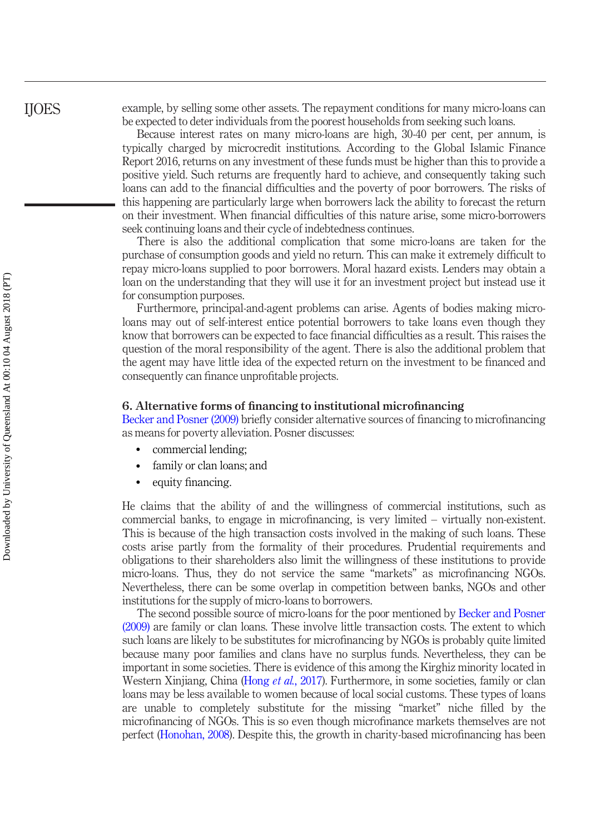example, by selling some other assets. The repayment conditions for many micro-loans can be expected to deter individuals from the poorest households from seeking such loans.

Because interest rates on many micro-loans are high, 30-40 per cent, per annum, is typically charged by microcredit institutions. According to the Global Islamic Finance Report 2016, returns on any investment of these funds must be higher than this to provide a positive yield. Such returns are frequently hard to achieve, and consequently taking such loans can add to the financial difficulties and the poverty of poor borrowers. The risks of this happening are particularly large when borrowers lack the ability to forecast the return on their investment. When financial difficulties of this nature arise, some micro-borrowers seek continuing loans and their cycle of indebtedness continues.

There is also the additional complication that some micro-loans are taken for the purchase of consumption goods and yield no return. This can make it extremely difficult to repay micro-loans supplied to poor borrowers. Moral hazard exists. Lenders may obtain a loan on the understanding that they will use it for an investment project but instead use it for consumption purposes.

Furthermore, principal-and-agent problems can arise. Agents of bodies making microloans may out of self-interest entice potential borrowers to take loans even though they know that borrowers can be expected to face financial difficulties as a result. This raises the question of the moral responsibility of the agent. There is also the additional problem that the agent may have little idea of the expected return on the investment to be financed and consequently can finance unprofitable projects.

#### 6. Alternative forms of financing to institutional microfinancing

[Becker and Posner \(2009\)](#page-19-0) briefly consider alternative sources of financing to microfinancing as means for poverty alleviation. Posner discusses:

- commercial lending;
- family or clan loans; and
- equity financing.

He claims that the ability of and the willingness of commercial institutions, such as commercial banks, to engage in microfinancing, is very limited – virtually non-existent. This is because of the high transaction costs involved in the making of such loans. These costs arise partly from the formality of their procedures. Prudential requirements and obligations to their shareholders also limit the willingness of these institutions to provide micro-loans. Thus, they do not service the same "markets" as microfinancing NGOs. Nevertheless, there can be some overlap in competition between banks, NGOs and other institutions for the supply of micro-loans to borrowers.

The second possible source of micro-loans for the poor mentioned by [Becker and Posner](#page-19-0) [\(2009\)](#page-19-0) are family or clan loans. These involve little transaction costs. The extent to which such loans are likely to be substitutes for microfinancing by NGOs is probably quite limited because many poor families and clans have no surplus funds. Nevertheless, they can be important in some societies. There is evidence of this among the Kirghiz minority located in Western Xinjiang, China (Hong et al.[, 2017\)](#page-20-10). Furthermore, in some societies, family or clan loans may be less available to women because of local social customs. These types of loans are unable to completely substitute for the missing "market" niche filled by the microfinancing of NGOs. This is so even though microfinance markets themselves are not perfect ([Honohan, 2008](#page-20-11)). Despite this, the growth in charity-based microfinancing has been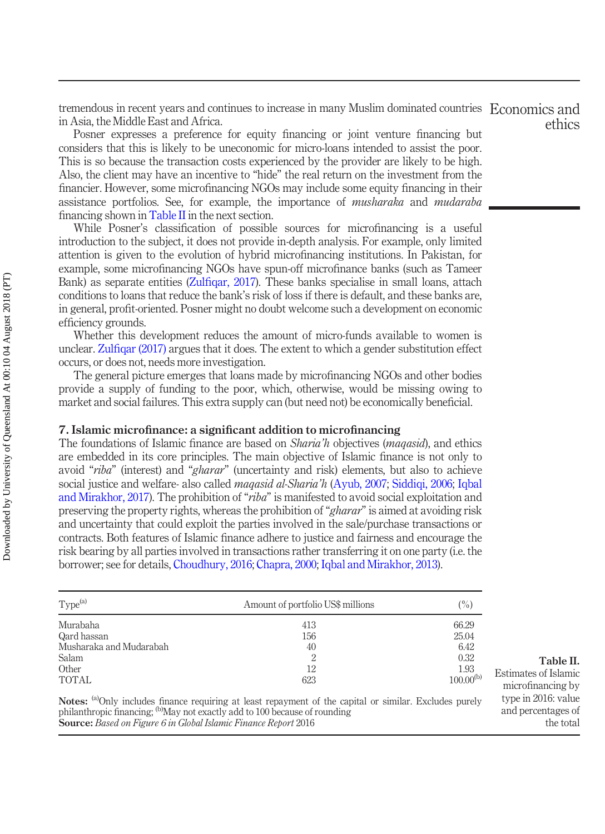tremendous in recent years and continues to increase in many Muslim dominated countries Economics and in Asia, the Middle East and Africa. ethics

Posner expresses a preference for equity financing or joint venture financing but considers that this is likely to be uneconomic for micro-loans intended to assist the poor. This is so because the transaction costs experienced by the provider are likely to be high. Also, the client may have an incentive to "hide" the real return on the investment from the financier. However, some microfinancing NGOs may include some equity financing in their assistance portfolios. See, for example, the importance of *musharaka* and *mudaraba* financing shown in [Table II](#page-9-0) in the next section.

While Posner's classification of possible sources for microfinancing is a useful introduction to the subject, it does not provide in-depth analysis. For example, only limited attention is given to the evolution of hybrid microfinancing institutions. In Pakistan, for example, some microfinancing NGOs have spun-off microfinance banks (such as Tameer Bank) as separate entities (Zulfi[qar, 2017](#page-21-2)). These banks specialise in small loans, attach conditions to loans that reduce the bank's risk of loss if there is default, and these banks are, in general, profit-oriented. Posner might no doubt welcome such a development on economic efficiency grounds.

Whether this development reduces the amount of micro-funds available to women is unclear. Zulfi[qar \(2017\)](#page-21-2) argues that it does. The extent to which a gender substitution effect occurs, or does not, needs more investigation.

The general picture emerges that loans made by microfinancing NGOs and other bodies provide a supply of funding to the poor, which, otherwise, would be missing owing to market and social failures. This extra supply can (but need not) be economically beneficial.

#### 7. Islamic microfinance: a significant addition to microfinancing

philanthropic financing; <sup>(b)</sup>May not exactly add to 100 because of rounding Source: Based on Figure 6 in Global Islamic Finance Report 2016

The foundations of Islamic finance are based on *Sharia'h* objectives *(magasid)*, and ethics are embedded in its core principles. The main objective of Islamic finance is not only to avoid "riba" (interest) and "gharar" (uncertainty and risk) elements, but also to achieve social justice and welfare- also called *magasid al-Sharia'h* ([Ayub, 2007](#page-19-3); [Siddiqi, 2006](#page-21-0); [Iqbal](#page-20-12) [and Mirakhor, 2017\)](#page-20-12). The prohibition of "riba" is manifested to avoid social exploitation and preserving the property rights, whereas the prohibition of "gharar" is aimed at avoiding risk and uncertainty that could exploit the parties involved in the sale/purchase transactions or contracts. Both features of Islamic finance adhere to justice and fairness and encourage the risk bearing by all parties involved in transactions rather transferring it on one party (i.e. the borrower; see for details, [Choudhury, 2016;](#page-19-2) [Chapra, 2000](#page-19-9); [Iqbal and Mirakhor, 2013\)](#page-20-13).

| Type <sup>(a)</sup>                                                                                     | Amount of portfolio US\$ millions | (%)            |  |  |  |
|---------------------------------------------------------------------------------------------------------|-----------------------------------|----------------|--|--|--|
| Murabaha                                                                                                | 413                               | 66.29          |  |  |  |
| Qard hassan                                                                                             | 156                               | 25.04          |  |  |  |
| Musharaka and Mudarabah                                                                                 | 40                                | 6.42           |  |  |  |
| Salam                                                                                                   | 2                                 | 0.32           |  |  |  |
| Other                                                                                                   | 12                                | 1.93           |  |  |  |
| <b>TOTAL</b>                                                                                            | 623                               | $100.00^{(b)}$ |  |  |  |
| Notes: (a)Only includes finance requiring at least repayment of the capital or similar. Excludes purely |                                   |                |  |  |  |

<span id="page-9-0"></span>Table II. Estimates of Islamic microfinancing by type in 2016: value and percentages of the total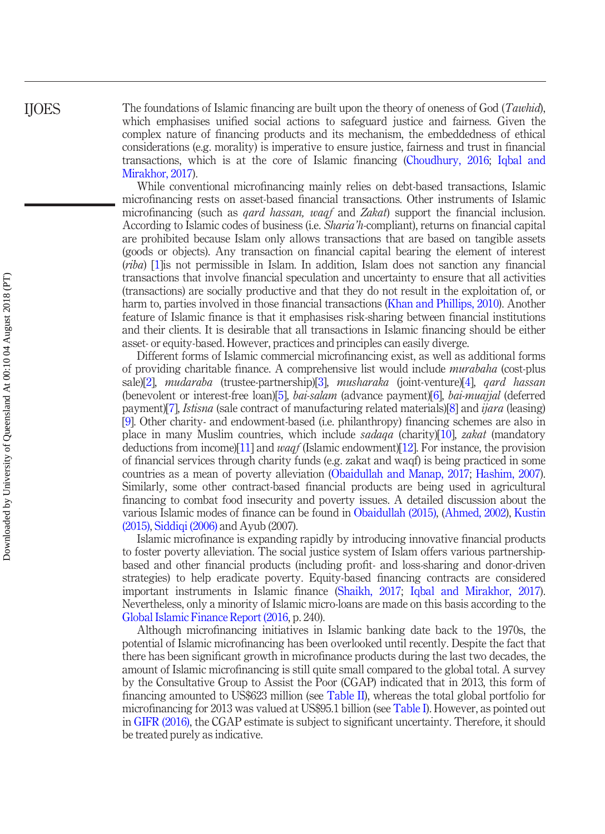The foundations of Islamic financing are built upon the theory of oneness of God (Tawhid), which emphasises unified social actions to safeguard justice and fairness. Given the complex nature of financing products and its mechanism, the embeddedness of ethical considerations (e.g. morality) is imperative to ensure justice, fairness and trust in financial transactions, which is at the core of Islamic financing ([Choudhury, 2016;](#page-19-2) [Iqbal and](#page-20-12) [Mirakhor, 2017\)](#page-20-12).

While conventional microfinancing mainly relies on debt-based transactions, Islamic microfinancing rests on asset-based financial transactions. Other instruments of Islamic microfinancing (such as *gard hassan, waqf* and *Zakat*) support the financial inclusion. According to Islamic codes of business (i.e. Sharia'h-compliant), returns on financial capital are prohibited because Islam only allows transactions that are based on tangible assets (goods or objects). Any transaction on financial capital bearing the element of interest (riba) [\[1\]](#page-18-0)is not permissible in Islam. In addition, Islam does not sanction any financial transactions that involve financial speculation and uncertainty to ensure that all activities (transactions) are socially productive and that they do not result in the exploitation of, or harm to, parties involved in those financial transactions [\(Khan and Phillips, 2010\)](#page-20-14). Another feature of Islamic finance is that it emphasises risk-sharing between financial institutions and their clients. It is desirable that all transactions in Islamic financing should be either asset- or equity-based. However, practices and principles can easily diverge.

Different forms of Islamic commercial microfinancing exist, as well as additional forms of providing charitable finance. A comprehensive list would include murabaha (cost-plus sale)[\[2\]](#page-18-1), *mudaraba* (trustee-partnership)[[3\]](#page-18-2), *musharaka* (joint-venture)[\[4\]](#page-18-3), *qard hassan* (benevolent or interest-free loan)[\[5](#page-18-4)], bai-salam (advance payment)[[6\]](#page-18-5), bai-muajjal (deferred payment)[[7](#page-18-6)], *Istisna* (sale contract of manufacturing related materials)[[8](#page-18-7)] and *ijara* (leasing) [\[9\]](#page-19-10). Other charity- and endowment-based (i.e. philanthropy) financing schemes are also in place in many Muslim countries, which include sadaqa (charity)[\[10](#page-19-11)], zakat (mandatory deductions from income)[[11](#page-19-12)] and waqf (Islamic endowment)[\[12\]](#page-19-13). For instance, the provision of financial services through charity funds (e.g. zakat and waqf) is being practiced in some countries as a mean of poverty alleviation [\(Obaidullah and Manap, 2017;](#page-20-15) [Hashim, 2007\)](#page-19-14). Similarly, some other contract-based financial products are being used in agricultural financing to combat food insecurity and poverty issues. A detailed discussion about the various Islamic modes of finance can be found in [Obaidullah \(2015\),](#page-20-2) ([Ahmed, 2002\)](#page-19-15), [Kustin](#page-20-1) [\(2015\)](#page-20-1), [Siddiqi \(2006\)](#page-21-0) and Ayub (2007).

Islamic microfinance is expanding rapidly by introducing innovative financial products to foster poverty alleviation. The social justice system of Islam offers various partnershipbased and other financial products (including profit- and loss-sharing and donor-driven strategies) to help eradicate poverty. Equity-based financing contracts are considered important instruments in Islamic finance ([Shaikh, 2017](#page-20-16); [Iqbal and Mirakhor, 2017\)](#page-20-12). Nevertheless, only a minority of Islamic micro-loans are made on this basis according to the [Global Islamic Finance Report \(2016,](#page-19-4) p. 240).

Although microfinancing initiatives in Islamic banking date back to the 1970s, the potential of Islamic microfinancing has been overlooked until recently. Despite the fact that there has been significant growth in microfinance products during the last two decades, the amount of Islamic microfinancing is still quite small compared to the global total. A survey by the Consultative Group to Assist the Poor (CGAP) indicated that in 2013, this form of financing amounted to US\$623 million (see [Table II](#page-9-0)), whereas the total global portfolio for microfinancing for 2013 was valued at US\$95.1 billion (see [Table I\)](#page-2-0). However, as pointed out in [GIFR \(2016\),](#page-19-4) the CGAP estimate is subject to significant uncertainty. Therefore, it should be treated purely as indicative.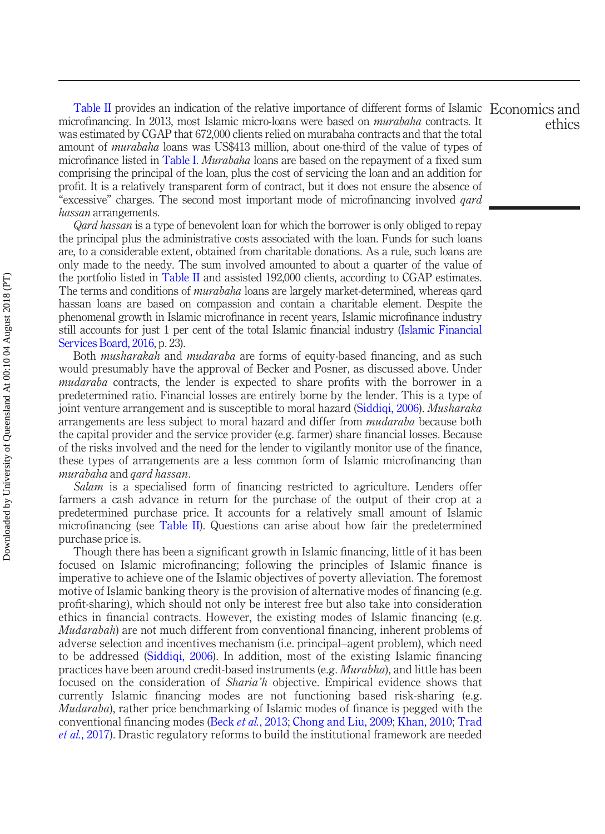[Table II](#page-9-0) provides an indication of the relative importance of different forms of Islamic Economics and microfinancing. In 2013, most Islamic micro-loans were based on *murabaha* contracts. It was estimated by CGAP that 672,000 clients relied on murabaha contracts and that the total amount of murabaha loans was US\$413 million, about one-third of the value of types of microfinance listed in [Table I](#page-2-0). *Murabaha* loans are based on the repayment of a fixed sum comprising the principal of the loan, plus the cost of servicing the loan and an addition for profit. It is a relatively transparent form of contract, but it does not ensure the absence of "excessive" charges. The second most important mode of microfinancing involved qard hassan arrangements.

*Qard hassan* is a type of benevolent loan for which the borrower is only obliged to repay the principal plus the administrative costs associated with the loan. Funds for such loans are, to a considerable extent, obtained from charitable donations. As a rule, such loans are only made to the needy. The sum involved amounted to about a quarter of the value of the portfolio listed in [Table II](#page-9-0) and assisted 192,000 clients, according to CGAP estimates. The terms and conditions of *murabaha* loans are largely market-determined, whereas qard hassan loans are based on compassion and contain a charitable element. Despite the phenomenal growth in Islamic microfinance in recent years, Islamic microfinance industry still accounts for just 1 per cent of the total Islamic financial industry [\(Islamic Financial](#page-20-17) [Services Board, 2016,](#page-20-17) p. 23).

Both *musharakah* and *mudaraba* are forms of equity-based financing, and as such would presumably have the approval of Becker and Posner, as discussed above. Under mudaraba contracts, the lender is expected to share profits with the borrower in a predetermined ratio. Financial losses are entirely borne by the lender. This is a type of joint venture arrangement and is susceptible to moral hazard [\(Siddiqi, 2006\)](#page-21-0). Musharaka arrangements are less subject to moral hazard and differ from *mudaraba* because both the capital provider and the service provider (e.g. farmer) share financial losses. Because of the risks involved and the need for the lender to vigilantly monitor use of the finance, these types of arrangements are a less common form of Islamic microfinancing than murabaha and qard hassan.

Salam is a specialised form of financing restricted to agriculture. Lenders offer farmers a cash advance in return for the purchase of the output of their crop at a predetermined purchase price. It accounts for a relatively small amount of Islamic microfinancing (see [Table II\)](#page-9-0). Questions can arise about how fair the predetermined purchase price is.

Though there has been a significant growth in Islamic financing, little of it has been focused on Islamic microfinancing; following the principles of Islamic finance is imperative to achieve one of the Islamic objectives of poverty alleviation. The foremost motive of Islamic banking theory is the provision of alternative modes of financing (e.g. profit-sharing), which should not only be interest free but also take into consideration ethics in financial contracts. However, the existing modes of Islamic financing (e.g. *Mudarabah*) are not much different from conventional financing, inherent problems of adverse selection and incentives mechanism (i.e. principal–agent problem), which need to be addressed ([Siddiqi, 2006\)](#page-21-0). In addition, most of the existing Islamic financing practices have been around credit-based instruments (e.g. *Murabha*), and little has been focused on the consideration of *Sharia'h* objective. Empirical evidence shows that currently Islamic financing modes are not functioning based risk-sharing (e.g. Mudaraba), rather price benchmarking of Islamic modes of finance is pegged with the conventional financing modes (Beck et al.[, 2013;](#page-19-16) [Chong and Liu, 2009](#page-19-17); [Khan, 2010;](#page-20-18) [Trad](#page-21-5) et al.[, 2017\)](#page-21-5). Drastic regulatory reforms to build the institutional framework are needed

ethics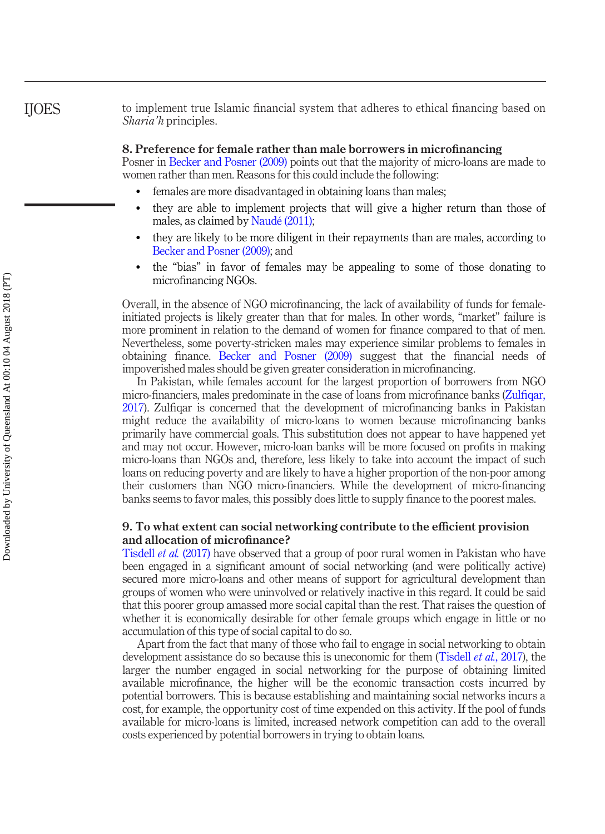to implement true Islamic financial system that adheres to ethical financing based on Sharia'h principles.

#### 8. Preference for female rather than male borrowers in microfinancing

Posner in [Becker and Posner \(2009\)](#page-19-0) points out that the majority of micro-loans are made to women rather than men. Reasons for this could include the following:

- females are more disadvantaged in obtaining loans than males;
- they are able to implement projects that will give a higher return than those of males, as claimed by [Naudé \(2011\);](#page-20-19)
- they are likely to be more diligent in their repayments than are males, according to [Becker and Posner \(2009\)](#page-19-0); and
- the "bias" in favor of females may be appealing to some of those donating to microfinancing NGOs.

Overall, in the absence of NGO microfinancing, the lack of availability of funds for femaleinitiated projects is likely greater than that for males. In other words, "market" failure is more prominent in relation to the demand of women for finance compared to that of men. Nevertheless, some poverty-stricken males may experience similar problems to females in obtaining finance. [Becker and Posner \(2009\)](#page-19-0) suggest that the financial needs of impoverished males should be given greater consideration in microfinancing.

In Pakistan, while females account for the largest proportion of borrowers from NGO micro-financiers, males predominate in the case of loans from microfinance banks (Zulfi[qar,](#page-21-2) [2017](#page-21-2)). Zulfiqar is concerned that the development of microfinancing banks in Pakistan might reduce the availability of micro-loans to women because microfinancing banks primarily have commercial goals. This substitution does not appear to have happened yet and may not occur. However, micro-loan banks will be more focused on profits in making micro-loans than NGOs and, therefore, less likely to take into account the impact of such loans on reducing poverty and are likely to have a higher proportion of the non-poor among their customers than NGO micro-financiers. While the development of micro-financing banks seems to favor males, this possibly does little to supply finance to the poorest males.

#### 9. To what extent can social networking contribute to the efficient provision and allocation of microfinance?

[Tisdell](#page-21-1) et al. (2017) have observed that a group of poor rural women in Pakistan who have been engaged in a significant amount of social networking (and were politically active) secured more micro-loans and other means of support for agricultural development than groups of women who were uninvolved or relatively inactive in this regard. It could be said that this poorer group amassed more social capital than the rest. That raises the question of whether it is economically desirable for other female groups which engage in little or no accumulation of this type of social capital to do so.

Apart from the fact that many of those who fail to engage in social networking to obtain development assistance do so because this is uneconomic for them ([Tisdell](#page-21-1) *et al.*, 2017), the larger the number engaged in social networking for the purpose of obtaining limited available microfinance, the higher will be the economic transaction costs incurred by potential borrowers. This is because establishing and maintaining social networks incurs a cost, for example, the opportunity cost of time expended on this activity. If the pool of funds available for micro-loans is limited, increased network competition can add to the overall costs experienced by potential borrowers in trying to obtain loans.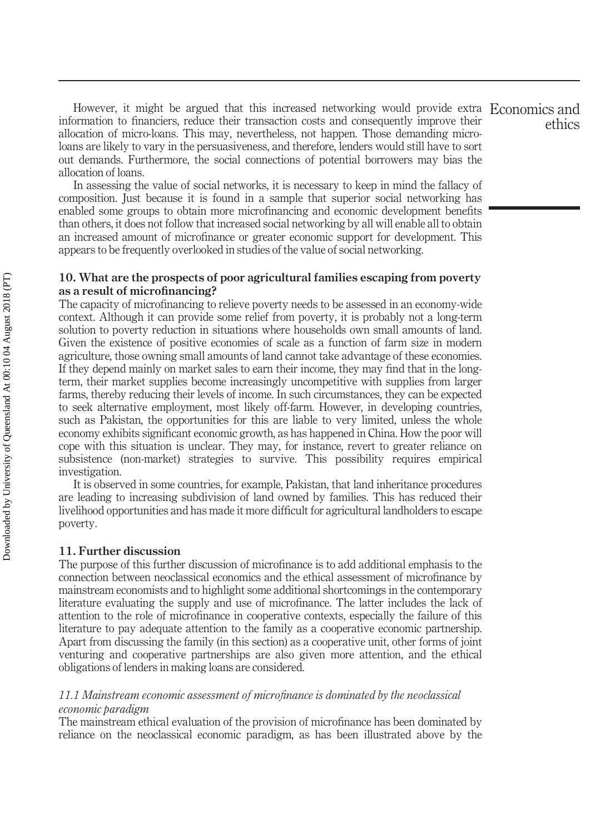However, it might be argued that this increased networking would provide extra Economics and information to financiers, reduce their transaction costs and consequently improve their allocation of micro-loans. This may, nevertheless, not happen. Those demanding microloans are likely to vary in the persuasiveness, and therefore, lenders would still have to sort out demands. Furthermore, the social connections of potential borrowers may bias the allocation of loans.

In assessing the value of social networks, it is necessary to keep in mind the fallacy of composition. Just because it is found in a sample that superior social networking has enabled some groups to obtain more microfinancing and economic development benefits than others, it does not follow that increased social networking by all will enable all to obtain an increased amount of microfinance or greater economic support for development. This appears to be frequently overlooked in studies of the value of social networking.

#### 10. What are the prospects of poor agricultural families escaping from poverty as a result of microfinancing?

The capacity of microfinancing to relieve poverty needs to be assessed in an economy-wide context. Although it can provide some relief from poverty, it is probably not a long-term solution to poverty reduction in situations where households own small amounts of land. Given the existence of positive economies of scale as a function of farm size in modern agriculture, those owning small amounts of land cannot take advantage of these economies. If they depend mainly on market sales to earn their income, they may find that in the longterm, their market supplies become increasingly uncompetitive with supplies from larger farms, thereby reducing their levels of income. In such circumstances, they can be expected to seek alternative employment, most likely off-farm. However, in developing countries, such as Pakistan, the opportunities for this are liable to very limited, unless the whole economy exhibits significant economic growth, as has happened in China. How the poor will cope with this situation is unclear. They may, for instance, revert to greater reliance on subsistence (non-market) strategies to survive. This possibility requires empirical investigation.

It is observed in some countries, for example, Pakistan, that land inheritance procedures are leading to increasing subdivision of land owned by families. This has reduced their livelihood opportunities and has made it more difficult for agricultural landholders to escape poverty.

#### 11. Further discussion

The purpose of this further discussion of microfinance is to add additional emphasis to the connection between neoclassical economics and the ethical assessment of microfinance by mainstream economists and to highlight some additional shortcomings in the contemporary literature evaluating the supply and use of microfinance. The latter includes the lack of attention to the role of microfinance in cooperative contexts, especially the failure of this literature to pay adequate attention to the family as a cooperative economic partnership. Apart from discussing the family (in this section) as a cooperative unit, other forms of joint venturing and cooperative partnerships are also given more attention, and the ethical obligations of lenders in making loans are considered.

#### 11.1 Mainstream economic assessment of microfinance is dominated by the neoclassical economic paradigm

The mainstream ethical evaluation of the provision of microfinance has been dominated by reliance on the neoclassical economic paradigm, as has been illustrated above by the

ethics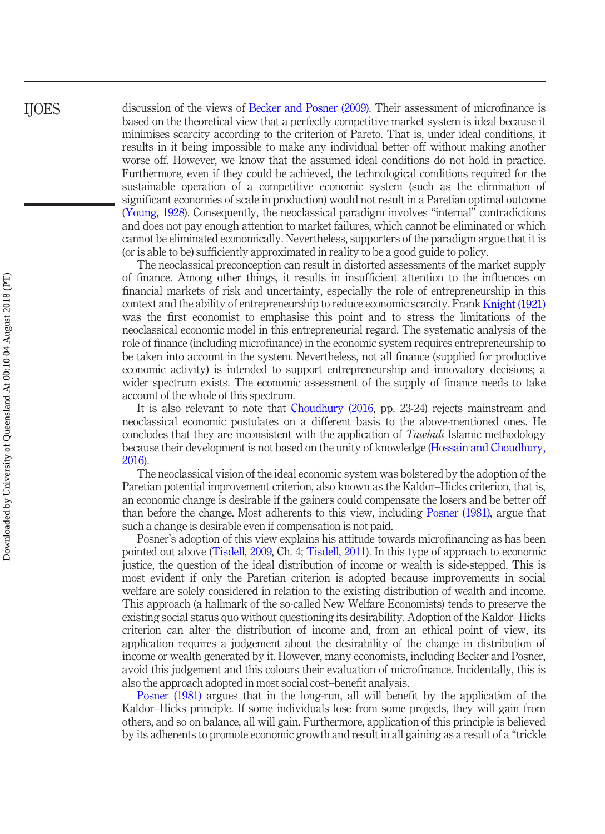discussion of the views of [Becker and Posner \(2009\).](#page-19-0) Their assessment of microfinance is based on the theoretical view that a perfectly competitive market system is ideal because it minimises scarcity according to the criterion of Pareto. That is, under ideal conditions, it results in it being impossible to make any individual better off without making another worse off. However, we know that the assumed ideal conditions do not hold in practice. Furthermore, even if they could be achieved, the technological conditions required for the sustainable operation of a competitive economic system (such as the elimination of significant economies of scale in production) would not result in a Paretian optimal outcome [\(Young, 1928](#page-21-6)). Consequently, the neoclassical paradigm involves "internal" contradictions and does not pay enough attention to market failures, which cannot be eliminated or which cannot be eliminated economically. Nevertheless, supporters of the paradigm argue that it is (or is able to be) sufficiently approximated in reality to be a good guide to policy.

The neoclassical preconception can result in distorted assessments of the market supply of finance. Among other things, it results in insufficient attention to the influences on financial markets of risk and uncertainty, especially the role of entrepreneurship in this context and the ability of entrepreneurship to reduce economic scarcity. Frank [Knight \(1921\)](#page-20-20) was the first economist to emphasise this point and to stress the limitations of the neoclassical economic model in this entrepreneurial regard. The systematic analysis of the role of finance (including microfinance) in the economic system requires entrepreneurship to be taken into account in the system. Nevertheless, not all finance (supplied for productive economic activity) is intended to support entrepreneurship and innovatory decisions; a wider spectrum exists. The economic assessment of the supply of finance needs to take account of the whole of this spectrum.

It is also relevant to note that [Choudhury \(2016](#page-19-2), pp. 23-24) rejects mainstream and neoclassical economic postulates on a different basis to the above-mentioned ones. He concludes that they are inconsistent with the application of *Tawhidi* Islamic methodology because their development is not based on the unity of knowledge ([Hossain and Choudhury,](#page-20-21) [2016](#page-20-21)).

The neoclassical vision of the ideal economic system was bolstered by the adoption of the Paretian potential improvement criterion, also known as the Kaldor–Hicks criterion, that is, an economic change is desirable if the gainers could compensate the losers and be better off than before the change. Most adherents to this view, including [Posner \(1981\),](#page-20-5) argue that such a change is desirable even if compensation is not paid.

Posner's adoption of this view explains his attitude towards microfinancing as has been pointed out above [\(Tisdell, 2009,](#page-21-3) Ch. 4; [Tisdell, 2011\)](#page-21-7). In this type of approach to economic justice, the question of the ideal distribution of income or wealth is side-stepped. This is most evident if only the Paretian criterion is adopted because improvements in social welfare are solely considered in relation to the existing distribution of wealth and income. This approach (a hallmark of the so-called New Welfare Economists) tends to preserve the existing social status quo without questioning its desirability. Adoption of the Kaldor–Hicks criterion can alter the distribution of income and, from an ethical point of view, its application requires a judgement about the desirability of the change in distribution of income or wealth generated by it. However, many economists, including Becker and Posner, avoid this judgement and this colours their evaluation of microfinance. Incidentally, this is also the approach adopted in most social cost–benefit analysis.

[Posner \(1981\)](#page-20-5) argues that in the long-run, all will benefit by the application of the Kaldor–Hicks principle. If some individuals lose from some projects, they will gain from others, and so on balance, all will gain. Furthermore, application of this principle is believed by its adherents to promote economic growth and result in all gaining as a result of a "trickle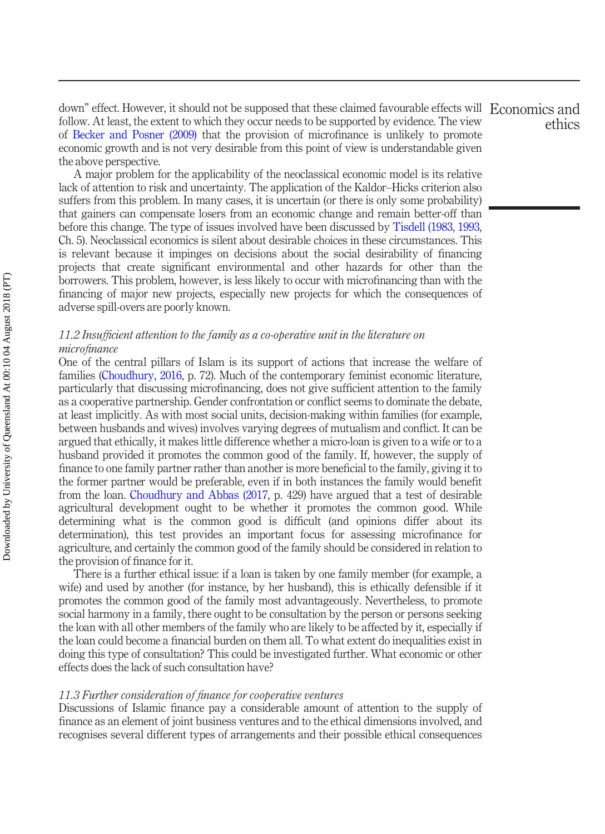down" effect. However, it should not be supposed that these claimed favourable effects will Economics and follow. At least, the extent to which they occur needs to be supported by evidence. The view of [Becker and Posner \(2009\)](#page-19-0) that the provision of microfinance is unlikely to promote economic growth and is not very desirable from this point of view is understandable given the above perspective.

ethics

A major problem for the applicability of the neoclassical economic model is its relative lack of attention to risk and uncertainty. The application of the Kaldor–Hicks criterion also suffers from this problem. In many cases, it is uncertain (or there is only some probability) that gainers can compensate losers from an economic change and remain better-off than before this change. The type of issues involved have been discussed by [Tisdell \(1983](#page-21-8), [1993](#page-21-9), Ch. 5). Neoclassical economics is silent about desirable choices in these circumstances. This is relevant because it impinges on decisions about the social desirability of financing projects that create significant environmental and other hazards for other than the borrowers. This problem, however, is less likely to occur with microfinancing than with the financing of major new projects, especially new projects for which the consequences of adverse spill-overs are poorly known.

#### 11.2 Insufficient attention to the family as a co-operative unit in the literature on microfinance

One of the central pillars of Islam is its support of actions that increase the welfare of families [\(Choudhury, 2016](#page-19-2), p. 72). Much of the contemporary feminist economic literature, particularly that discussing microfinancing, does not give sufficient attention to the family as a cooperative partnership. Gender confrontation or conflict seems to dominate the debate, at least implicitly. As with most social units, decision-making within families (for example, between husbands and wives) involves varying degrees of mutualism and conflict. It can be argued that ethically, it makes little difference whether a micro-loan is given to a wife or to a husband provided it promotes the common good of the family. If, however, the supply of finance to one family partner rather than another is more beneficial to the family, giving it to the former partner would be preferable, even if in both instances the family would benefit from the loan. [Choudhury and Abbas \(2017](#page-19-18), p. 429) have argued that a test of desirable agricultural development ought to be whether it promotes the common good. While determining what is the common good is difficult (and opinions differ about its determination), this test provides an important focus for assessing microfinance for agriculture, and certainly the common good of the family should be considered in relation to the provision of finance for it.

There is a further ethical issue: if a loan is taken by one family member (for example, a wife) and used by another (for instance, by her husband), this is ethically defensible if it promotes the common good of the family most advantageously. Nevertheless, to promote social harmony in a family, there ought to be consultation by the person or persons seeking the loan with all other members of the family who are likely to be affected by it, especially if the loan could become a financial burden on them all. To what extent do inequalities exist in doing this type of consultation? This could be investigated further. What economic or other effects does the lack of such consultation have?

#### 11.3 Further consideration of finance for cooperative ventures

Discussions of Islamic finance pay a considerable amount of attention to the supply of finance as an element of joint business ventures and to the ethical dimensions involved, and recognises several different types of arrangements and their possible ethical consequences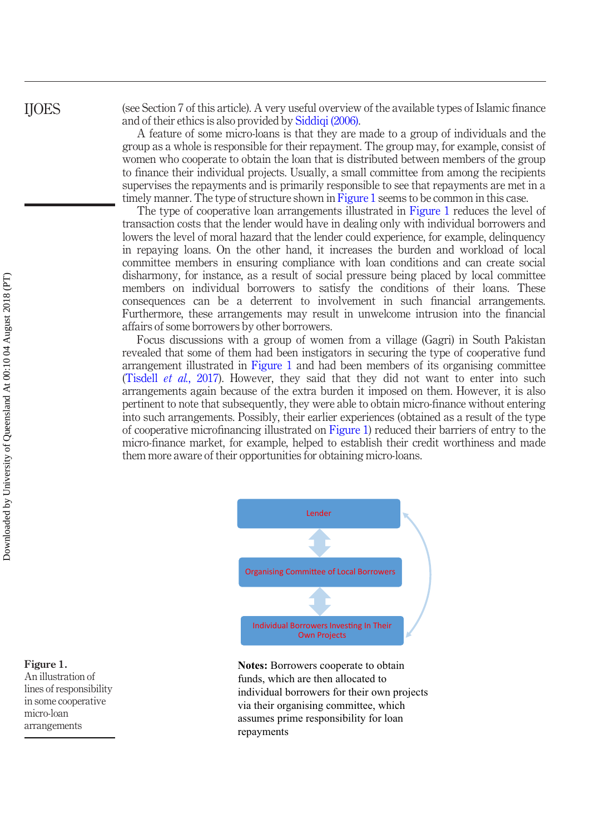(see Section 7 of this article). A very useful overview of the available types of Islamic finance and of their ethics is also provided by [Siddiqi \(2006\)](#page-21-0).

A feature of some micro-loans is that they are made to a group of individuals and the group as a whole is responsible for their repayment. The group may, for example, consist of women who cooperate to obtain the loan that is distributed between members of the group to finance their individual projects. Usually, a small committee from among the recipients supervises the repayments and is primarily responsible to see that repayments are met in a timely manner. The type of structure shown in [Figure 1](#page-16-0) seems to be common in this case.

The type of cooperative loan arrangements illustrated in [Figure 1](#page-16-0) reduces the level of transaction costs that the lender would have in dealing only with individual borrowers and lowers the level of moral hazard that the lender could experience, for example, delinquency in repaying loans. On the other hand, it increases the burden and workload of local committee members in ensuring compliance with loan conditions and can create social disharmony, for instance, as a result of social pressure being placed by local committee members on individual borrowers to satisfy the conditions of their loans. These consequences can be a deterrent to involvement in such financial arrangements. Furthermore, these arrangements may result in unwelcome intrusion into the financial affairs of some borrowers by other borrowers.

Focus discussions with a group of women from a village (Gagri) in South Pakistan revealed that some of them had been instigators in securing the type of cooperative fund arrangement illustrated in [Figure 1](#page-16-0) and had been members of its organising committee [\(Tisdell](#page-21-1) et al., 2017). However, they said that they did not want to enter into such arrangements again because of the extra burden it imposed on them. However, it is also pertinent to note that subsequently, they were able to obtain micro-finance without entering into such arrangements. Possibly, their earlier experiences (obtained as a result of the type of cooperative microfinancing illustrated on [Figure 1\)](#page-16-0) reduced their barriers of entry to the micro-finance market, for example, helped to establish their credit worthiness and made them more aware of their opportunities for obtaining micro-loans.



**Notes:** Borrowers cooperate to obtain funds, which are then allocated to individual borrowers for their own projects via their organising committee, which assumes prime responsibility for loan repayments

<span id="page-16-0"></span>Figure 1.

An illustration of lines of responsibility in some cooperative micro-loan arrangements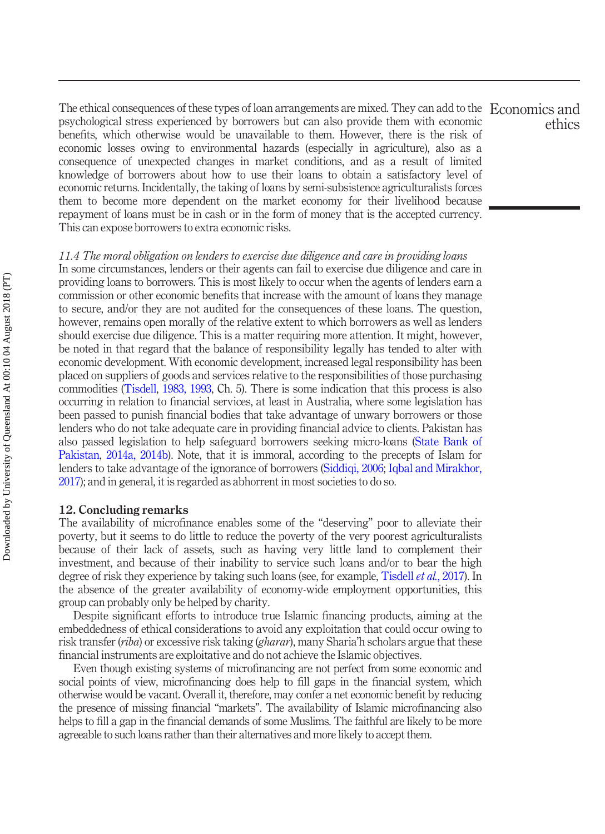The ethical consequences of these types of loan arrangements are mixed. They can add to the Economics and psychological stress experienced by borrowers but can also provide them with economic benefits, which otherwise would be unavailable to them. However, there is the risk of economic losses owing to environmental hazards (especially in agriculture), also as a consequence of unexpected changes in market conditions, and as a result of limited knowledge of borrowers about how to use their loans to obtain a satisfactory level of economic returns. Incidentally, the taking of loans by semi-subsistence agriculturalists forces them to become more dependent on the market economy for their livelihood because repayment of loans must be in cash or in the form of money that is the accepted currency. This can expose borrowers to extra economic risks.

#### 11.4 The moral obligation on lenders to exercise due diligence and care in providing loans

In some circumstances, lenders or their agents can fail to exercise due diligence and care in providing loans to borrowers. This is most likely to occur when the agents of lenders earn a commission or other economic benefits that increase with the amount of loans they manage to secure, and/or they are not audited for the consequences of these loans. The question, however, remains open morally of the relative extent to which borrowers as well as lenders should exercise due diligence. This is a matter requiring more attention. It might, however, be noted in that regard that the balance of responsibility legally has tended to alter with economic development. With economic development, increased legal responsibility has been placed on suppliers of goods and services relative to the responsibilities of those purchasing commodities [\(Tisdell,](#page-21-8) [1983, 1993,](#page-21-9) Ch. 5). There is some indication that this process is also occurring in relation to financial services, at least in Australia, where some legislation has been passed to punish financial bodies that take advantage of unwary borrowers or those lenders who do not take adequate care in providing financial advice to clients. Pakistan has also passed legislation to help safeguard borrowers seeking micro-loans ([State Bank of](#page-21-10) [Pakistan](#page-21-10), [2014a, 2014b\)](#page-21-11). Note, that it is immoral, according to the precepts of Islam for lenders to take advantage of the ignorance of borrowers [\(Siddiqi, 2006;](#page-21-0) [Iqbal and Mirakhor,](#page-20-12) [2017\)](#page-20-12); and in general, it is regarded as abhorrent in most societies to do so.

#### 12. Concluding remarks

The availability of microfinance enables some of the "deserving" poor to alleviate their poverty, but it seems to do little to reduce the poverty of the very poorest agriculturalists because of their lack of assets, such as having very little land to complement their investment, and because of their inability to service such loans and/or to bear the high degree of risk they experience by taking such loans (see, for example, [Tisdell](#page-21-1) *et al.*, 2017). In the absence of the greater availability of economy-wide employment opportunities, this group can probably only be helped by charity.

Despite significant efforts to introduce true Islamic financing products, aiming at the embeddedness of ethical considerations to avoid any exploitation that could occur owing to risk transfer *(riba)* or excessive risk taking *(gharar)*, many Sharia'h scholars argue that these financial instruments are exploitative and do not achieve the Islamic objectives.

Even though existing systems of microfinancing are not perfect from some economic and social points of view, microfinancing does help to fill gaps in the financial system, which otherwise would be vacant. Overall it, therefore, may confer a net economic benefit by reducing the presence of missing financial "markets". The availability of Islamic microfinancing also helps to fill a gap in the financial demands of some Muslims. The faithful are likely to be more agreeable to such loans rather than their alternatives and more likely to accept them.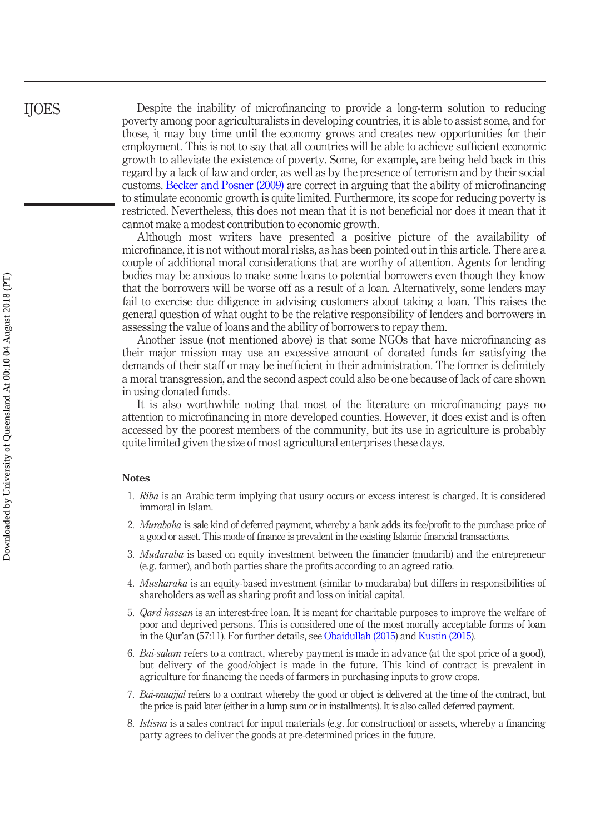IJOES

Despite the inability of microfinancing to provide a long-term solution to reducing poverty among poor agriculturalists in developing countries, it is able to assist some, and for those, it may buy time until the economy grows and creates new opportunities for their employment. This is not to say that all countries will be able to achieve sufficient economic growth to alleviate the existence of poverty. Some, for example, are being held back in this regard by a lack of law and order, as well as by the presence of terrorism and by their social customs. [Becker and Posner \(2009\)](#page-19-0) are correct in arguing that the ability of microfinancing to stimulate economic growth is quite limited. Furthermore, its scope for reducing poverty is restricted. Nevertheless, this does not mean that it is not beneficial nor does it mean that it cannot make a modest contribution to economic growth.

Although most writers have presented a positive picture of the availability of microfinance, it is not without moral risks, as has been pointed out in this article. There are a couple of additional moral considerations that are worthy of attention. Agents for lending bodies may be anxious to make some loans to potential borrowers even though they know that the borrowers will be worse off as a result of a loan. Alternatively, some lenders may fail to exercise due diligence in advising customers about taking a loan. This raises the general question of what ought to be the relative responsibility of lenders and borrowers in assessing the value of loans and the ability of borrowers to repay them.

Another issue (not mentioned above) is that some NGOs that have microfinancing as their major mission may use an excessive amount of donated funds for satisfying the demands of their staff or may be inefficient in their administration. The former is definitely a moral transgression, and the second aspect could also be one because of lack of care shown in using donated funds.

It is also worthwhile noting that most of the literature on microfinancing pays no attention to microfinancing in more developed counties. However, it does exist and is often accessed by the poorest members of the community, but its use in agriculture is probably quite limited given the size of most agricultural enterprises these days.

#### Notes

- <span id="page-18-0"></span>1. Riba is an Arabic term implying that usury occurs or excess interest is charged. It is considered immoral in Islam.
- <span id="page-18-1"></span>2. *Murabaha* is sale kind of deferred payment, whereby a bank adds its fee/profit to the purchase price of a good or asset. This mode of finance is prevalent in the existing Islamic financial transactions.
- <span id="page-18-2"></span>3. Mudaraba is based on equity investment between the financier (mudarib) and the entrepreneur (e.g. farmer), and both parties share the profits according to an agreed ratio.
- <span id="page-18-3"></span>4. Musharaka is an equity-based investment (similar to mudaraba) but differs in responsibilities of shareholders as well as sharing profit and loss on initial capital.
- <span id="page-18-4"></span>5. Qard hassan is an interest-free loan. It is meant for charitable purposes to improve the welfare of poor and deprived persons. This is considered one of the most morally acceptable forms of loan in the Qur'an (57:11). For further details, see [Obaidullah \(2015\)](#page-20-2) and [Kustin \(2015](#page-20-1)).
- <span id="page-18-5"></span>6. Bai-salam refers to a contract, whereby payment is made in advance (at the spot price of a good), but delivery of the good/object is made in the future. This kind of contract is prevalent in agriculture for financing the needs of farmers in purchasing inputs to grow crops.
- <span id="page-18-6"></span>7. Bai-muajjal refers to a contract whereby the good or object is delivered at the time of the contract, but the price is paid later (either in a lump sum or in installments). It is also called deferred payment.
- <span id="page-18-7"></span>8. Istisna is a sales contract for input materials (e.g. for construction) or assets, whereby a financing party agrees to deliver the goods at pre-determined prices in the future.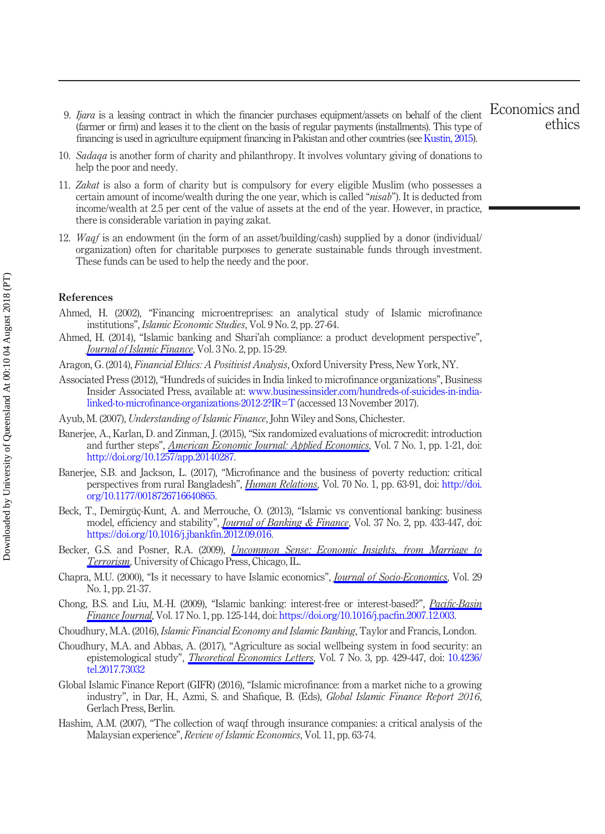- <span id="page-19-10"></span>9. Ijara is a leasing contract in which the financier purchases equipment/assets on behalf of the client (farmer or firm) and leases it to the client on the basis of regular payments (installments). This type of financing is used in agriculture equipment financing in Pakistan and other countries (see [Kustin, 2015\)](#page-20-1).
- <span id="page-19-11"></span>10. Sadaqa is another form of charity and philanthropy. It involves voluntary giving of donations to help the poor and needy.
- <span id="page-19-12"></span>11. Zakat is also a form of charity but is compulsory for every eligible Muslim (who possesses a certain amount of income/wealth during the one year, which is called "nisab"). It is deducted from income/wealth at 2.5 per cent of the value of assets at the end of the year. However, in practice, there is considerable variation in paying zakat.
- <span id="page-19-13"></span>12. *Waqf* is an endowment (in the form of an asset/building/cash) supplied by a donor (individual/ organization) often for charitable purposes to generate sustainable funds through investment. These funds can be used to help the needy and the poor.

#### References

- <span id="page-19-15"></span>Ahmed, H. (2002), "Financing microentreprises: an analytical study of Islamic microfinance institutions", Islamic Economic Studies, Vol. 9 No. 2, pp. 27-64.
- <span id="page-19-7"></span>Ahmed, H. (2014), "Islamic banking and Shari'ah compliance: a product development perspective", **[Journal of Islamic Finance](https://www.emeraldinsight.com/action/showLinks?doi=10.1108%2FIJOES-02-2018-0028&crossref=10.12816%2F0025102&citationId=p_2)**, Vol. 3 No. 2, pp. 15-29.
- <span id="page-19-1"></span>Aragon, G. (2014), Financial Ethics: A Positivist Analysis, Oxford University Press, New York, NY.
- <span id="page-19-6"></span>Associated Press (2012), "Hundreds of suicides in India linked to microfinance organizations", Business Insider Associated Press, available at: [www.businessinsider.com/hundreds-of-suicides-in-india](http://www.businessinsider.com/hundreds-of-suicides-in-india-linked-to-microfinance-organizations-2012-2?IR=T)linked-to-microfi[nance-organizations-2012-2?IR=T](http://www.businessinsider.com/hundreds-of-suicides-in-india-linked-to-microfinance-organizations-2012-2?IR=T) (accessed 13 November 2017).
- <span id="page-19-3"></span>Ayub, M. (2007), Understanding of Islamic Finance, John Wiley and Sons, Chichester.
- <span id="page-19-8"></span>Banerjee, A., Karlan, D. and Zinman, J. (2015), "Six randomized evaluations of microcredit: introduction and further steps", *[American Economic Journal: Applied Economics](https://www.emeraldinsight.com/action/showLinks?doi=10.1108%2FIJOES-02-2018-0028&crossref=10.1257%2Fapp.20140287&citationId=p_6)*, Vol. 7 No. 1, pp. 1-21, doi: [http://doi.org/10.1257/app.20140287.](http://dx.doi.org/http://doi.org/10.1257/app.20140287)
- <span id="page-19-5"></span>Banerjee, S.B. and Jackson, L. (2017), "Microfinance and the business of poverty reduction: critical perspectives from rural Bangladesh", *[Human Relations](https://www.emeraldinsight.com/action/showLinks?doi=10.1108%2FIJOES-02-2018-0028&crossref=10.1177%2F0018726716640865&citationId=p_7)*, Vol. 70 No. 1, pp. 63-91, doi: [http://doi.](http://dx.doi.org/http://doi.org/10.1177/0018726716640865) [org/10.1177/0018726716640865](http://dx.doi.org/http://doi.org/10.1177/0018726716640865).
- <span id="page-19-16"></span>Beck, T., Demirgüç-Kunt, A. and Merrouche, O. (2013), "Islamic vs conventional banking: business model, efficiency and stability", *[Journal of Banking & Finance](https://www.emeraldinsight.com/action/showLinks?doi=10.1108%2FIJOES-02-2018-0028&crossref=10.1016%2Fj.jbankfin.2012.09.016&citationId=p_8)*, Vol. 37 No. 2, pp. 433-447, doi: [https://doi.org/10.1016/j.jbank](http://dx.doi.org/https://doi.org/10.1016/j.jbankfin.2012.09.016)fin.2012.09.016.
- <span id="page-19-0"></span>Becker, G.S. and Posner, R.A. (2009), *[Uncommon Sense: Economic Insights, from Marriage to](https://www.emeraldinsight.com/action/showLinks?doi=10.1108%2FIJOES-02-2018-0028&crossref=10.7208%2Fchicago%2F9780226041032.001.0001&citationId=p_9)* [Terrorism](https://www.emeraldinsight.com/action/showLinks?doi=10.1108%2FIJOES-02-2018-0028&crossref=10.7208%2Fchicago%2F9780226041032.001.0001&citationId=p_9), University of Chicago Press, Chicago, IL.
- <span id="page-19-9"></span>Chapra, M.U. (2000), "Is it necessary to have Islamic economics", *[Journal of Socio-Economics](https://www.emeraldinsight.com/action/showLinks?doi=10.1108%2FIJOES-02-2018-0028&crossref=10.1016%2FS1053-5357%2800%2900051-2&citationId=p_10)*, Vol. 29 No. 1, pp. 21-37.
- <span id="page-19-17"></span>Chong, B.S. and Liu, M.-H. (2009), "Islamic banking: interest-free or interest-based?", Pacifi[c-Basin](https://www.emeraldinsight.com/action/showLinks?doi=10.1108%2FIJOES-02-2018-0028&crossref=10.1016%2Fj.pacfin.2007.12.003&citationId=p_11) [Finance Journal](https://www.emeraldinsight.com/action/showLinks?doi=10.1108%2FIJOES-02-2018-0028&crossref=10.1016%2Fj.pacfin.2007.12.003&citationId=p_11), Vol. 17 No. 1, pp. 125-144, doi: [https://doi.org/10.1016/j.pac](http://dx.doi.org/https://doi.org/10.1016/j.pacfin.2007.12.003)fin.2007.12.003.
- <span id="page-19-2"></span>Choudhury, M.A. (2016), Islamic Financial Economy and Islamic Banking, Taylor and Francis, London.
- <span id="page-19-18"></span>Choudhury, M.A. and Abbas, A. (2017), "Agriculture as social wellbeing system in food security: an epistemological study", [Theoretical Economics Letters](https://www.emeraldinsight.com/action/showLinks?doi=10.1108%2FIJOES-02-2018-0028&crossref=10.4236%2Ftel.2017.73032&citationId=p_13), Vol. 7 No. 3, pp. 429-447, doi: [10.4236/](http://dx.doi.org/10.4236/tel.2017.73032) [tel.2017.73032](http://dx.doi.org/10.4236/tel.2017.73032)
- <span id="page-19-4"></span>Global Islamic Finance Report (GIFR) (2016), "Islamic microfinance: from a market niche to a growing industry", in Dar, H., Azmi, S. and Shafique, B. (Eds), Global Islamic Finance Report 2016, Gerlach Press, Berlin.
- <span id="page-19-14"></span>Hashim, A.M. (2007), "The collection of waqf through insurance companies: a critical analysis of the Malaysian experience", Review of Islamic Economics, Vol. 11, pp. 63-74.

#### Economics and ethics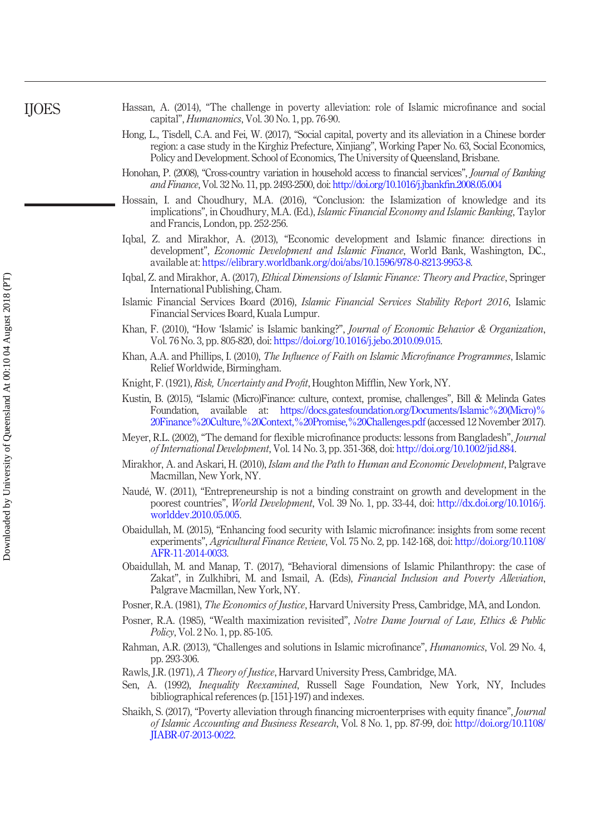- <span id="page-20-3"></span>Hassan, A. (2014), "The challenge in poverty alleviation: role of Islamic microfinance and social capital", Humanomics, Vol. 30 No. 1, pp. 76-90.
- <span id="page-20-10"></span>Hong, L., Tisdell, C.A. and Fei, W. (2017), "Social capital, poverty and its alleviation in a Chinese border region: a case study in the Kirghiz Prefecture, Xinjiang", Working Paper No. 63, Social Economics, Policy and Development. School of Economics, The University of Queensland, Brisbane.
- <span id="page-20-11"></span>Honohan, P. (2008), "Cross-country variation in household access to financial services", Journal of Banking and Finance, Vol. 32 No. 11, pp. 2493-2500, doi: [http://doi.org/10.1016/j.jbank](http://dx.doi.org/http://doi.org/10.1016/j.jbankfin.2008.05.004)fin.2008.05.004
- <span id="page-20-21"></span>Hossain, I. and Choudhury, M.A. (2016), "Conclusion: the Islamization of knowledge and its implications", in Choudhury, M.A. (Ed.), Islamic Financial Economy and Islamic Banking, Taylor and Francis, London, pp. 252-256.
- <span id="page-20-13"></span>Iqbal, Z. and Mirakhor, A. (2013), "Economic development and Islamic finance: directions in development", Economic Development and Islamic Finance, World Bank, Washington, DC., available at: [https://elibrary.worldbank.org/doi/abs/10.1596/978-0-8213-9953-8.](https://elibrary.worldbank.org/doi/abs/10.1596/978-0-8213-9953-8)
- <span id="page-20-12"></span>Iqbal, Z. and Mirakhor, A. (2017), Ethical Dimensions of Islamic Finance: Theory and Practice, Springer International Publishing, Cham.
- <span id="page-20-17"></span>Islamic Financial Services Board (2016), Islamic Financial Services Stability Report 2016, Islamic Financial Services Board, Kuala Lumpur.
- <span id="page-20-18"></span>Khan, F. (2010), "How 'Islamic' is Islamic banking?", Journal of Economic Behavior & Organization, Vol. 76 No. 3, pp. 805-820, doi: [https://doi.org/10.1016/j.jebo.2010.09.015](http://dx.doi.org/https://doi.org/10.1016/j.jebo.2010.09.015).
- <span id="page-20-14"></span>Khan, A.A. and Phillips, I. (2010), The Influence of Faith on Islamic Microfinance Programmes, Islamic Relief Worldwide, Birmingham.
- <span id="page-20-20"></span>Knight, F. (1921), Risk, Uncertainty and Profit, Houghton Mifflin, New York, NY.
- <span id="page-20-1"></span>Kustin, B. (2015), "Islamic (Micro)Finance: culture, context, promise, challenges", Bill & Melinda Gates Foundation, available at: [https://docs.gatesfoundation.org/Documents/Islamic%20\(Micro\)%](https://docs.gatesfoundation.org/Documents/Islamic&hx0025;20(Micro)&hx0025;20Finance&hx0025;20Culture,&hx0025;20Context,&hx0025;20Promise,&hx0025;20Challenges.pdf) [20Finance%20Culture,%20Context,%20Promise,%20Challenges.pdf](https://docs.gatesfoundation.org/Documents/Islamic&hx0025;20(Micro)&hx0025;20Finance&hx0025;20Culture,&hx0025;20Context,&hx0025;20Promise,&hx0025;20Challenges.pdf) (accessed 12 November 2017).
- <span id="page-20-0"></span>Meyer, R.L. (2002), "The demand for flexible microfinance products: lessons from Bangladesh", Journal of International Development, Vol. 14 No. 3, pp. 351-368, doi: [http://doi.org/10.1002/jid.884.](http://dx.doi.org/http://doi.org/10.1002/jid.884)
- <span id="page-20-7"></span>Mirakhor, A. and Askari, H. (2010), Islam and the Path to Human and Economic Development, Palgrave Macmillan, New York, NY.
- <span id="page-20-19"></span>Naudé, W. (2011), "Entrepreneurship is not a binding constraint on growth and development in the poorest countries", World Development, Vol. 39 No. 1, pp. 33-44, doi: [http://dx.doi.org/10.1016/j.](http://dx.doi.org/http://dx.doi.org/10.1016/j.worlddev.2010.05.005) [worlddev.2010.05.005](http://dx.doi.org/http://dx.doi.org/10.1016/j.worlddev.2010.05.005).
- <span id="page-20-2"></span>Obaidullah, M. (2015), "Enhancing food security with Islamic microfinance: insights from some recent experiments", Agricultural Finance Review, Vol. 75 No. 2, pp. 142-168, doi: [http://doi.org/10.1108/](http://dx.doi.org/http://doi.org/10.1108/AFR-11-2014-0033) [AFR-11-2014-0033.](http://dx.doi.org/http://doi.org/10.1108/AFR-11-2014-0033)
- <span id="page-20-15"></span>Obaidullah, M. and Manap, T. (2017), "Behavioral dimensions of Islamic Philanthropy: the case of Zakat", in Zulkhibri, M. and Ismail, A. (Eds), Financial Inclusion and Poverty Alleviation, Palgrave Macmillan, New York, NY.
- <span id="page-20-5"></span>Posner, R.A. (1981), *The Economics of Justice*, Harvard University Press, Cambridge, MA, and London.
- <span id="page-20-8"></span>Posner, R.A. (1985), "Wealth maximization revisited", Notre Dame Journal of Law, Ethics & Public Policy, Vol. 2 No. 1, pp. 85-105.
- <span id="page-20-4"></span>Rahman, A.R. (2013), "Challenges and solutions in Islamic microfinance", Humanomics, Vol. 29 No. 4, pp. 293-306.
- <span id="page-20-6"></span>Rawls, J.R. (1971), A Theory of Justice, Harvard University Press, Cambridge, MA.
- <span id="page-20-9"></span>Sen, A. (1992), Inequality Reexamined, Russell Sage Foundation, New York, NY, Includes bibliographical references (p. [151]-197) and indexes.
- <span id="page-20-16"></span>Shaikh, S. (2017), "Poverty alleviation through financing microenterprises with equity finance", Journal of Islamic Accounting and Business Research, Vol. 8 No. 1, pp. 87-99, doi: [http://doi.org/10.1108/](http://dx.doi.org/http://doi.org/10.1108/JIABR-07-2013-0022) [JIABR-07-2013-0022](http://dx.doi.org/http://doi.org/10.1108/JIABR-07-2013-0022).